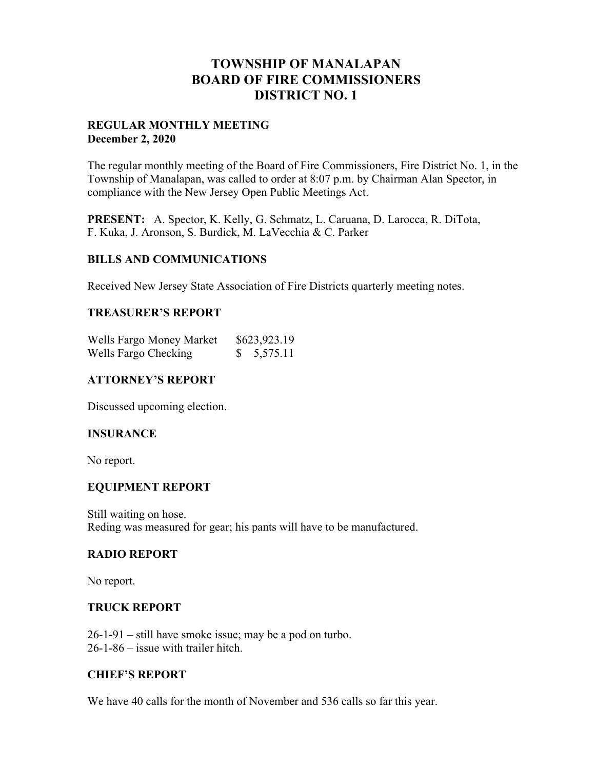# **TOWNSHIP OF MANALAPAN BOARD OF FIRE COMMISSIONERS DISTRICT NO. 1**

### **REGULAR MONTHLY MEETING December 2, 2020**

The regular monthly meeting of the Board of Fire Commissioners, Fire District No. 1, in the Township of Manalapan, was called to order at 8:07 p.m. by Chairman Alan Spector, in compliance with the New Jersey Open Public Meetings Act.

**PRESENT:** A. Spector, K. Kelly, G. Schmatz, L. Caruana, D. Larocca, R. DiTota, F. Kuka, J. Aronson, S. Burdick, M. LaVecchia & C. Parker

### **BILLS AND COMMUNICATIONS**

Received New Jersey State Association of Fire Districts quarterly meeting notes.

#### **TREASURER'S REPORT**

| Wells Fargo Money Market | \$623,923.19 |
|--------------------------|--------------|
| Wells Fargo Checking     | \$5,575.11   |

### **ATTORNEY'S REPORT**

Discussed upcoming election.

# **INSURANCE**

No report.

### **EQUIPMENT REPORT**

Still waiting on hose. Reding was measured for gear; his pants will have to be manufactured.

#### **RADIO REPORT**

No report.

#### **TRUCK REPORT**

26-1-91 – still have smoke issue; may be a pod on turbo. 26-1-86 – issue with trailer hitch.

### **CHIEF'S REPORT**

We have 40 calls for the month of November and 536 calls so far this year.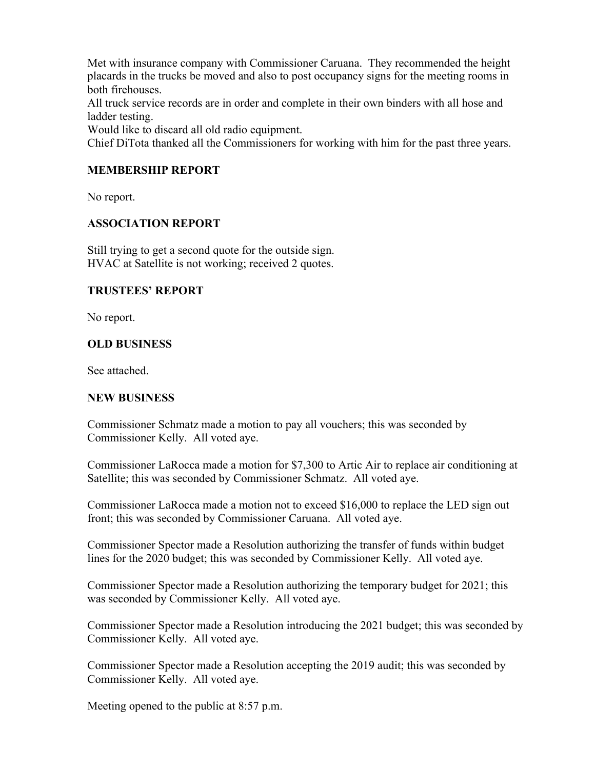Met with insurance company with Commissioner Caruana. They recommended the height placards in the trucks be moved and also to post occupancy signs for the meeting rooms in both firehouses.

All truck service records are in order and complete in their own binders with all hose and ladder testing.

Would like to discard all old radio equipment.

Chief DiTota thanked all the Commissioners for working with him for the past three years.

## **MEMBERSHIP REPORT**

No report.

## **ASSOCIATION REPORT**

Still trying to get a second quote for the outside sign. HVAC at Satellite is not working; received 2 quotes.

### **TRUSTEES' REPORT**

No report.

## **OLD BUSINESS**

See attached.

### **NEW BUSINESS**

Commissioner Schmatz made a motion to pay all vouchers; this was seconded by Commissioner Kelly. All voted aye.

Commissioner LaRocca made a motion for \$7,300 to Artic Air to replace air conditioning at Satellite; this was seconded by Commissioner Schmatz. All voted aye.

Commissioner LaRocca made a motion not to exceed \$16,000 to replace the LED sign out front; this was seconded by Commissioner Caruana. All voted aye.

Commissioner Spector made a Resolution authorizing the transfer of funds within budget lines for the 2020 budget; this was seconded by Commissioner Kelly. All voted aye.

Commissioner Spector made a Resolution authorizing the temporary budget for 2021; this was seconded by Commissioner Kelly. All voted aye.

Commissioner Spector made a Resolution introducing the 2021 budget; this was seconded by Commissioner Kelly. All voted aye.

Commissioner Spector made a Resolution accepting the 2019 audit; this was seconded by Commissioner Kelly. All voted aye.

Meeting opened to the public at 8:57 p.m.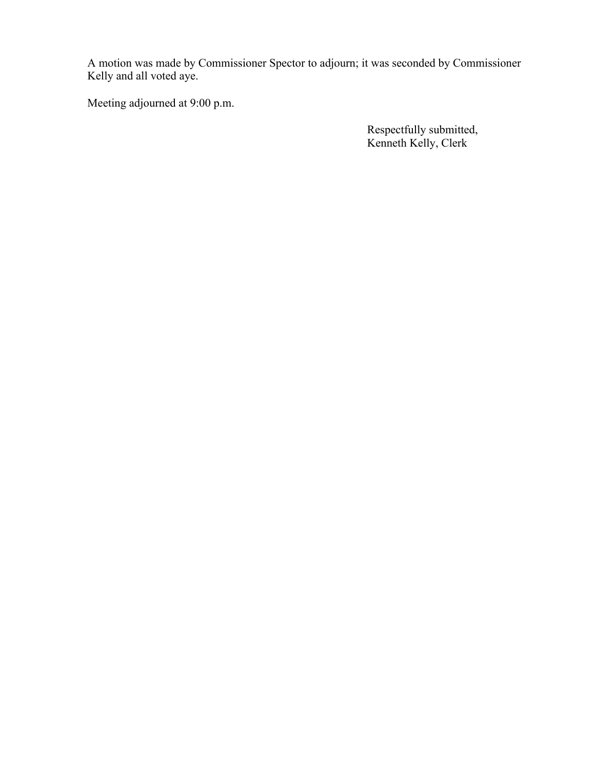A motion was made by Commissioner Spector to adjourn; it was seconded by Commissioner Kelly and all voted aye.

Meeting adjourned at 9:00 p.m.

 Respectfully submitted, Kenneth Kelly, Clerk